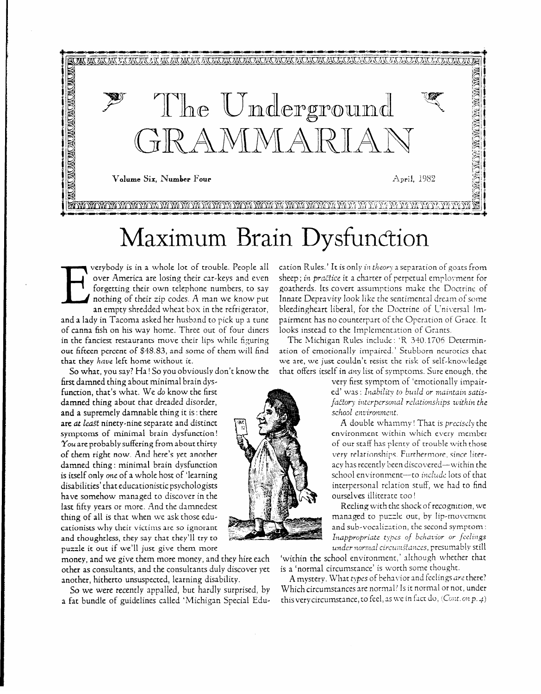

### Maximum Brain Dysfunction

verybody is in a whole lot of trouble. People all<br>over America are losing their car-keys and even<br>forgetting their own telephone numbers, to say<br>nothing of their zip codes. A man we know put<br>an empty shredded wheat box in over America are losing their car-keys and even forgetting their own telephone numbers, to say nothing of their zip codes. A man we know pus an empty shredded wheat box in the refrigerator, and a lady in Tacoma asked her husband to pick up a tune of canna fish on his way home. Three out of four diners in the fanciest restaurants move their lips while figuring out fifteen percent of \$48.83, and some of them will find

that they *have* left home without it.

function, that's what. We *do* know the first damned thing about that dreaded disorder, and a supremely damnable thing it is: there *school environment*.<br>**are at least ninety-nine separate and distinct** [<sup>36</sup>] **A** double whammy! That is precisely the are *at least* ninety-nine separate and distinct  $\begin{pmatrix} \overline{m} \\ m \end{pmatrix}$   $\begin{pmatrix} \overline{m} \\ \overline{m} \end{pmatrix}$  A double whammy! That is *precisely* the symptoms of minimal brain dysfunction! symptoms of minimal brain dysfunction!<br>
You are probably suffering from about thirty  $\bigotimes_{\mathbb{Z}}\bigotimes_{\mathbb{Z}}\bigotimes_{\mathbb{Z}}\bigotimes_{\mathbb{Z}}\bigotimes_{\mathbb{Z}}\bigotimes_{\mathbb{Z}}\mathbb{Z}$  of our staff has plenty of trouble with those You are probably suffering from about thirty  $\bigotimes_{\text{over}}$  of our staff has plenty of trouble with those of them right now. And here's yet another of them right now. And here's yet another very were very relationships. Furthermore, since liter-<br>damned thing : minimal brain dysfunction very all the very relationships. Furthermore, since literdamned thing : minimal brain dysfunction<br>is itself only *one* of a whole host of 'learning disabilities' that educationistic psychologists interpersonal relation studies interpersonal relation stuff of<br>have somehow managed to discover in the to find the stuff ourselves illiterate too! have somehow managed to discover in the ourselves illiterate too !<br>last fifty years or more. And the damnedest on the seling with the shock of recognition, we last fifty years or more. And the damnedest Reeling with the shock of recognition, we<br>
thing of all is that when we ask those eduthing of all is that when we ask those edu-<br>cationists why their victims are so ignorant the second symptom: cationists why their victims are so ignorant **and state of the second symptom** and sub-vocalization, the second symptom :<br>and thoughtless, they say that they'll try to **the second symptom is and sub-vocalization**, the seco and thoughtless, they say that they'll try to *Inappropriate types of behavior or feelings*<br>puzzle it out if we'll just give them more *and transfances*, presumably still

puzzle it out if we'll just give them more<br>monev, and we give them more monev, and thev hire each *v*ithin the school environment,' although whether that money, and we give them more money, and they hire each 'within the school environment,' although wheth<br>other as consultants, and the consultants duly discover vet is a 'normal circumstance' is worth some thought. other as consultants, and the consultants duly discover yet is a 'normal circumstance' is worth some thought.<br>2. another, hitherto unsuspected, learning disability, and the above and the types of behavior and feelings are

a fat bundle of guidelines called 'Michigan Special Edu-

cation Rules.' It is only iiz *theory* a separation of goats from sheep; in practice it a charter of perpetual employment for goatherds. Its covert assumptions make the Doctrine of Innate Depravity look like the sentimental dream of some bleedingheart liberal, for the Doctrine of Universal Impairment has no counterpart of the Operation of Grace. It looks instead to the Implementation of Grants.

The Michigan Rules include: 'R 340.1706 Determination of emotionally impaired.' Stubborn neurotics that we are, we just couldn't resist the risk of self-knowledge that offers itself in *any* list of symptoms. Sure enough, the very first symptom of 'emotionally impair-

first damned thing about minimal brain dys-<br>
function, that's what. We do know the first state of the state of vas: Inability to build or maintain satisfactory interpersonal relationships within th**e**<br>school environment.

school environment-to *include* lots of that<br>interpersonal relation stuff, we had to find

another, hitherto unsuspected, learning disability. A *mystery.* What *types* of behax.ior and feelings *ar2* there? So we were recently appalled, but hardly surprised, by Which circumstances are normal? Is it normal or not, under<br>fat bundle of guidelines called 'Michigan Special Edu- this very circumstance, to feel, as we in fact do, *(* 

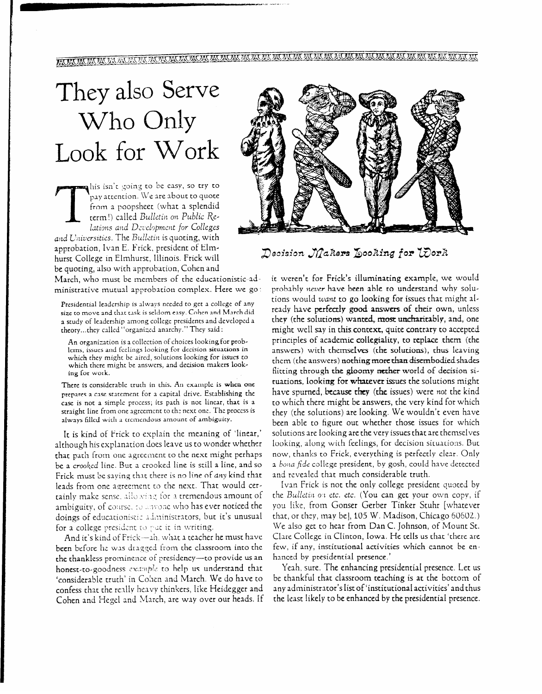# They also Serve Who Only Look for Work

 $\bf a$  his isn't going to be easy, so try to pay attention. We are about to quote from a poopsheet (what a splendid term!) called *Bulletin on Public Relations and Development for Colleges und C;~iverstties.* The *Bulktin* is quoting, with approbation, Ivan E. Frick, president of Elmhurst College in Elmhurst, Illinois. Frick will be quoting, also with approbation, Cohen and

March, who must be members of the educationistic-administrative mutual approbation complex. Here we go :

Presidential leadership is always needed to get a college of any size to move and that cask is seldom easy. Cohen and March did a study of leadership among college presidents and developed a theory...thcy called "organized anarchy." They said:

An organization is a collection of choices looking for problems, issues and feelings looking for decision situations in which they might be aired, solutions looking for issues **to**  which there might be answers, and decision makers looking for work.

There is considerable truth in this. An example is when one prepares a case statement for a capital drive. EstabIishing the case is not a simple process; its path is not linear, chat is a straight line from one agrcemcnt to thz next one. The process is always filled with a tremendous amount of ambiguity.

It is kind of Frick to explain the meaning of 'linear,' although his explanation does leave us to wonder whether that path from one agreement to the next might perhaps be a *crool<ed* line. But a crooked line is still a line, and so Frick must be saying that there is no line of *any* kind that leads from one agreement to the next. That would certainly make sense, allowing for a tremendous amount of ambiguity, of course, to anyone who has ever noticed the doings of educationistic administrators, but it's unusual for a college president to put it in writing.

And it's kind of Frick--ah. what a teacher he must have been before he was dragged from the classroom into the the thankless prominence of presidency-to provide us an honest-to-goodness example to help us understand that 'considerable truth' in Cohen and March. We do have to confess that the renllv havy thinkers, like Heidegger and Cohen and Hegel and March, are way over our heads. If



Decision Makers Looking for Work

it weren't for Frick's illuminating example, we would probably never have been able to understand why solutions would *want* to go looking for issues that might already have perfectly good answers of their own, unless they (the solutions) wanted, most uncharitably, and, one might well say in this context, quite contrary to accepted principles of academic collegialicy, to replace them (the answers) with themselves (the solutions), thus leaving them (the answers) nothing more than disembodied shades flitting through the gloomy nether world of decision situations, looking for whever issues the solutions might have spurned, because they (the issues) were *not* the kind to which there might be answers, the very kind for which they (the solutions) are looking. We wouldn't even have been able to figure out whether those issues for which solutions are looking are the very issues that are themselves looking, along with feelings, for decision situations. But now, thanks to Frick, everything is perfectly clear. Only a *bona fide* college president, by gosh, could have detected and revealed that much considerable truth.

Ivan Frick is not the only college president quoted by the *Bulletin* on etc. etc. (You can get your own copy, if you like, from Gonser Gerber Tinker Stuhr [whatever that, or chzy, may be], 105 W. Madison, Chicago 60602.) We also get to hear from Dan C. Johnson, of Mount St. Clare College in Clinton, Iowa. He tells us that 'there are few, if any, institutional activities which cannot be enhanced by presidential presence.'

Yeah, sure. The enhancing presidential presence. Let us be thankful chat classroom teaching is at the bottom of any administrator's Iist of 'institutional activities' and thus the least likely to be enhanced by the presidential presence.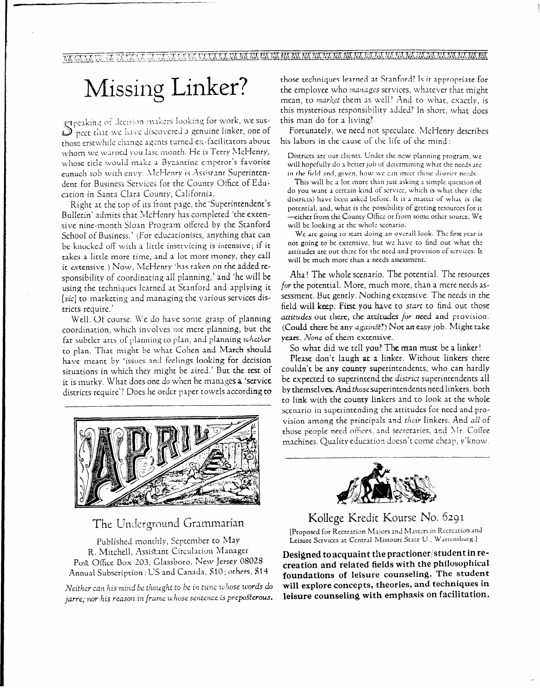## Missing Linker?

 $\epsilon$  peaking of decision makers looking for work, we sus- $\mathcal D$  pect that we have discovered a genuine linker, one of those erstwhile change agents turned ex-facilitators about whom we warned you last month. He is Terry McHenry, whose title would make a Byzantine emperor's favorite eunuch sob with envy. McHenry is Assistant Superintendent for Business Services for the County Office of Education in Santa Clara County, California.

Right at the hop of its front page, the 'Superintendent's Bulletin' admits that McHenry has completed 'the extensive nine-month Sloan Program offered by the Stanford School of Business.' (For educationists, anything chat can be knocked off with a little inservicing is intensive; if it takes a little more time, and a lot more money, they call it extensive.) Now, McHenry 'has taken on the added responsibility of coordinating all planning,' and 'he will be using the techniques learned at Stanford and applying it [sic] to marketing and managing the various services districts require.'

Well. Of course. We do have some grasp of planning coordination, which involves not mere planning, but the far subtler arts of planning to plan, and planning *whether*  to plan, That might be what Cohen and March should have meant by 'issues and feelings looking for decision situations in which they might be aired.' But the rest of it is murky. What does one do when he manages a 'service districts require'? Does he order paper towels according to



#### The Underground Grammarian

Published monthly, September to May R. Mitchell, Assistant Circulation Manager Post Office Box *203,* Glassboro, New Jersey *08028*  Annual Subscription : VS and Canada, *\$10* ; others, *\$14* 

 $N$ either can his mind be thought to be in tune whose words do *jarre; nor his reason in frame whose sentence is prepoSterous.*  those techniques learned at Stanford? Is it appropriate for the employee who manages services, whatever that might mean, to *market* them as well? And to what, exactly, is this mysterious responsibility added? In short, what does this man do for a living?

Fortunately, we need not speculate. McHenry describes his labors in the cause of the life of the mind:

Districts arc our clients. Under the new planning program, we will hopefully do a better job of determining what the needs are in the field and, given, how we can meet those district needs.

This will be a lot more than just asking a simple question of do you want a certain kind of service, which is what they (the districts) have been asked before. It is a matter of what is the potential, and, what is the possibility of getting resources for it -- either from the County Office or from some other source. We will be looking at the whole scenario.

We *are* going *ro* start doing an ovsrall look. Thz first year is not going to be extensive, but we have to find out what the attitudes are out there for the need and provision of services. It will be much more than a needs assessment.

Aha! The whole scenario. The potential. The resources for the potential. More, much more, than a mere needs assessment. But gently. Nothing extensive. The *needs* in the field will keep: Fist you have to *start* to find out those attitudes out there, the attitudes *for need* and provision. (Could there be any *against?*) Not an easy job. Might take years. None of them extensive.

So what did we tell you? The man must be a linker!

Please don't laugh at a linker. Without linkers there couldn't be any county superintendents, who can hardly be expected to superintend the *district* superintendents all by themselves. And those superintendents need linkers, both to link with the county linkers and to look at the whole scenario in superintending the attitudes for need and provision among the principals and *their* linkers. And all of those people need offices, and secretaries, and Mr. Coffee machines. Quality education doesn't come cheap, y'know.



Kollege Kredit Kourse No. 6291<br>[Proposed for Recreation Majors and Masters in Recreation and [Proposed for R ecreation Majors and Masters in Recreation and

Leisure Services at Central Missouri State U., Warrensburg.]

**Designed to acquaint the practionerjstudent in recreation and related fields with the philosophical foundations of leisure counseling. The student will explore concepts, theories, and techniques in leisure counseling with emphasis on facilitation.**